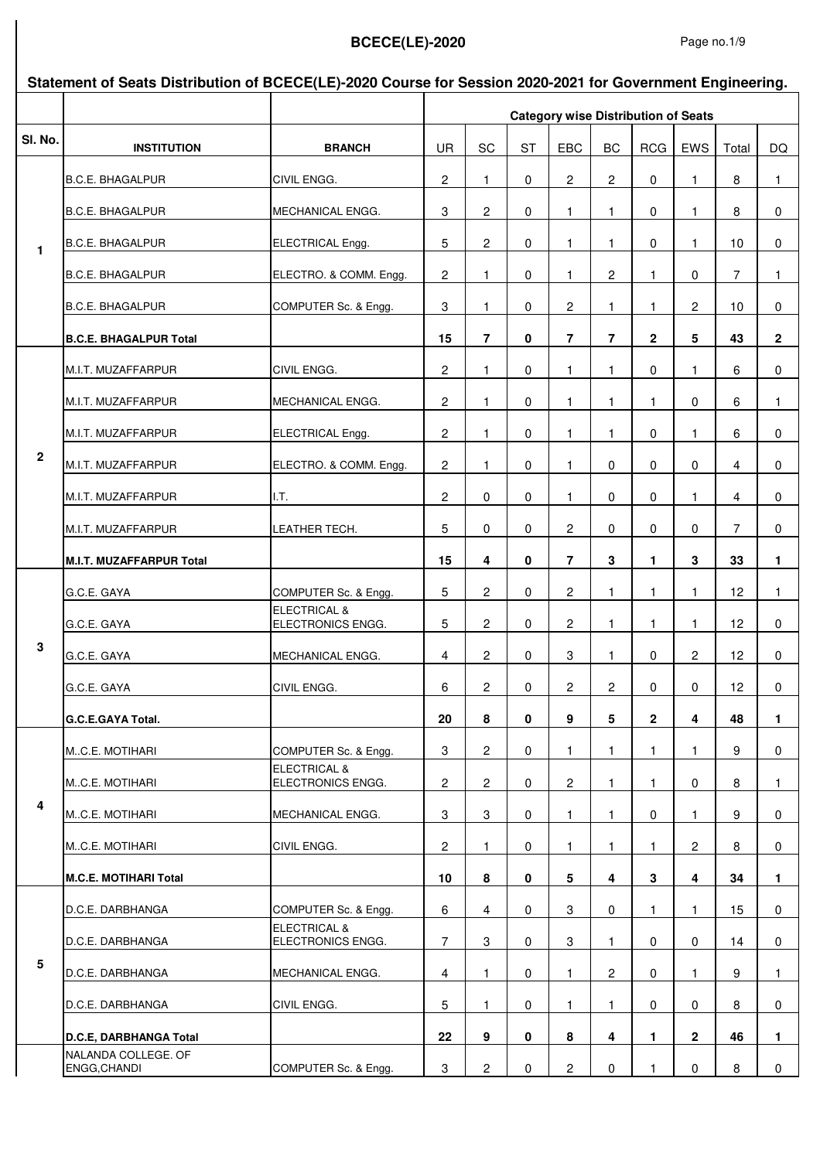|              | Statement of Seats Distribution of BCECE(LE)-2020 Course for Session 2020-2021 for Government Engineering. |                                              |                |                |           |                         |                         |                                            |                |                 |              |
|--------------|------------------------------------------------------------------------------------------------------------|----------------------------------------------|----------------|----------------|-----------|-------------------------|-------------------------|--------------------------------------------|----------------|-----------------|--------------|
|              |                                                                                                            |                                              |                |                |           |                         |                         | <b>Category wise Distribution of Seats</b> |                |                 |              |
| SI. No.      | <b>INSTITUTION</b>                                                                                         | <b>BRANCH</b>                                | <b>UR</b>      | SC             | <b>ST</b> | EBC                     | BC                      | <b>RCG</b>                                 | EWS            | Total           | DQ           |
|              | <b>B.C.E. BHAGALPUR</b>                                                                                    | CIVIL ENGG.                                  | $\mathbf{2}$   | 1              | 0         | 2                       | $\overline{2}$          | 0                                          | 1              | 8               | $\mathbf{1}$ |
|              | <b>B.C.E. BHAGALPUR</b>                                                                                    | MECHANICAL ENGG.                             | 3              | $\overline{c}$ | 0         | 1                       | 1.                      | 0                                          | 1              | 8               | 0            |
| $\mathbf{1}$ | <b>B.C.E. BHAGALPUR</b>                                                                                    | ELECTRICAL Engg.                             | 5              | $\overline{c}$ | 0         | 1                       | 1                       | 0                                          | 1              | 10              | 0            |
|              | <b>B.C.E. BHAGALPUR</b>                                                                                    | ELECTRO. & COMM. Engg.                       | $\mathbf{2}$   | 1              | 0         | 1                       | 2                       | 1                                          | 0              | $\overline{7}$  | $\mathbf{1}$ |
|              | <b>B.C.E. BHAGALPUR</b>                                                                                    | COMPUTER Sc. & Engg.                         | 3              | $\mathbf{1}$   | 0         | $\overline{\mathbf{c}}$ | $\mathbf{1}$            | 1                                          | 2              | 10              | 0            |
|              | <b>B.C.E. BHAGALPUR Total</b>                                                                              |                                              | 15             | $\overline{7}$ | 0         | $\overline{7}$          | $\overline{7}$          | $\mathbf{2}$                               | 5              | 43              | $\mathbf{2}$ |
|              | M.I.T. MUZAFFARPUR                                                                                         | CIVIL ENGG.                                  | $\mathbf{2}$   | 1              | 0         | 1                       | 1                       | 0                                          | 1              | 6               | $\pmb{0}$    |
|              | M.I.T. MUZAFFARPUR                                                                                         | MECHANICAL ENGG.                             | 2              | 1.             | 0         | 1.                      | 1.                      | 1.                                         | 0              | 6               | $\mathbf{1}$ |
|              | M.I.T. MUZAFFARPUR                                                                                         | ELECTRICAL Engg.                             | 2              | 1              | 0         | 1                       | 1                       | 0                                          | 1              | 6               | 0            |
| $\mathbf{2}$ | M.I.T. MUZAFFARPUR                                                                                         | ELECTRO. & COMM. Engg.                       | 2              | 1              | 0         | 1.                      | 0                       | 0                                          | 0              | 4               | 0            |
|              | M.I.T. MUZAFFARPUR                                                                                         | I.T.                                         | 2              | 0              | 0         | 1.                      | 0                       | 0                                          | 1.             | 4               | 0            |
|              | M.I.T. MUZAFFARPUR                                                                                         | LEATHER TECH.                                | 5              | 0              | 0         | $\overline{c}$          | 0                       | 0                                          | 0              | 7               | 0            |
|              | <b>M.I.T. MUZAFFARPUR Total</b>                                                                            |                                              | 15             | 4              | 0         | $\overline{7}$          | 3                       | 1.                                         | 3              | 33              | 1.           |
|              | G.C.E. GAYA                                                                                                | COMPUTER Sc. & Engg.                         | 5              | 2              | 0         | 2                       | $\mathbf{1}$            | 1                                          | 1.             | 12 <sup>2</sup> | $\mathbf{1}$ |
|              | G.C.E. GAYA                                                                                                | <b>ELECTRICAL &amp;</b><br>ELECTRONICS ENGG. | 5              | $\overline{c}$ | 0         | $\mathbf{2}$            | $\mathbf{1}$            | 1                                          | 1.             | 12 <sup>°</sup> | $\pmb{0}$    |
| 3            | G.C.E. GAYA                                                                                                | MECHANICAL ENGG.                             | $\overline{4}$ | $\overline{c}$ | 0         | 3                       | 1                       | 0                                          | $\mathbf{2}$   | 12 <sup>°</sup> | $\pmb{0}$    |
|              | G.C.E. GAYA                                                                                                | CIVIL ENGG.                                  | 6              | $\overline{2}$ | 0         | $\overline{2}$          | $\overline{c}$          | 0                                          | 0              | 12              | $\mathbf 0$  |
|              | <b>G.C.E.GAYA Total.</b>                                                                                   |                                              | 20             | 8              | 0         | 9                       | 5                       | $\overline{2}$                             | 4              | 48              | 1.           |
|              | MC.E. MOTIHARI                                                                                             | COMPUTER Sc. & Engg.                         | 3              | $\mathbf{2}$   | 0         | 1.                      | 1                       | 1                                          | 1.             | 9               | $\mathbf 0$  |
|              | MC.E. MOTIHARI                                                                                             | <b>ELECTRICAL &amp;</b><br>ELECTRONICS ENGG. | 2              | 2              | 0         | 2                       | 1                       | 1.                                         | 0              | 8               | $\mathbf{1}$ |
| 4            | MC.E. MOTIHARI                                                                                             | MECHANICAL ENGG.                             | 3              | 3              | 0         | 1.                      | 1                       | 0                                          | 1.             | 9               | 0            |
|              | MC.E. MOTIHARI                                                                                             | CIVIL ENGG.                                  | $\mathbf{2}$   | 1.             | 0         | 1.                      | 1                       | 1.                                         | $\mathbf{2}$   | 8               | 0            |
|              | <b>M.C.E. MOTIHARI Total</b>                                                                               |                                              | 10             | 8              | 0         | 5                       | 4                       | 3                                          | 4              | 34              | $\mathbf 1$  |
|              | D.C.E. DARBHANGA                                                                                           | COMPUTER Sc. & Engg.                         | 6              | 4              | 0         | 3                       | 0                       | 1                                          | 1.             | 15              | 0            |
|              | D.C.E. DARBHANGA                                                                                           | <b>ELECTRICAL &amp;</b><br>ELECTRONICS ENGG. | $\overline{7}$ | 3              | 0         | 3                       | $\mathbf{1}$            | 0                                          | 0              | 14              | 0            |
| ${\bf 5}$    | D.C.E. DARBHANGA                                                                                           | MECHANICAL ENGG.                             | $\overline{4}$ | 1              | 0         | 1.                      | $\overline{2}$          | $\mathbf 0$                                | 1.             | 9               | 1.           |
|              | D.C.E. DARBHANGA                                                                                           | CIVIL ENGG.                                  | 5              | 1.             | 0         | 1.                      | 1.                      | 0                                          | 0              | 8               | 0            |
|              | D.C.E, DARBHANGA Total                                                                                     |                                              | 22             | 9              | 0         | 8                       | $\overline{\mathbf{4}}$ | 1.                                         | $\overline{2}$ | 46              | 1.           |
|              | NALANDA COLLEGE. OF<br>ENGG, CHANDI                                                                        | COMPUTER Sc. & Engg.                         | 3              | $\mathbf{2}$   | 0         | 2                       | 0                       | 1                                          | 0              | 8               | $\mathbf 0$  |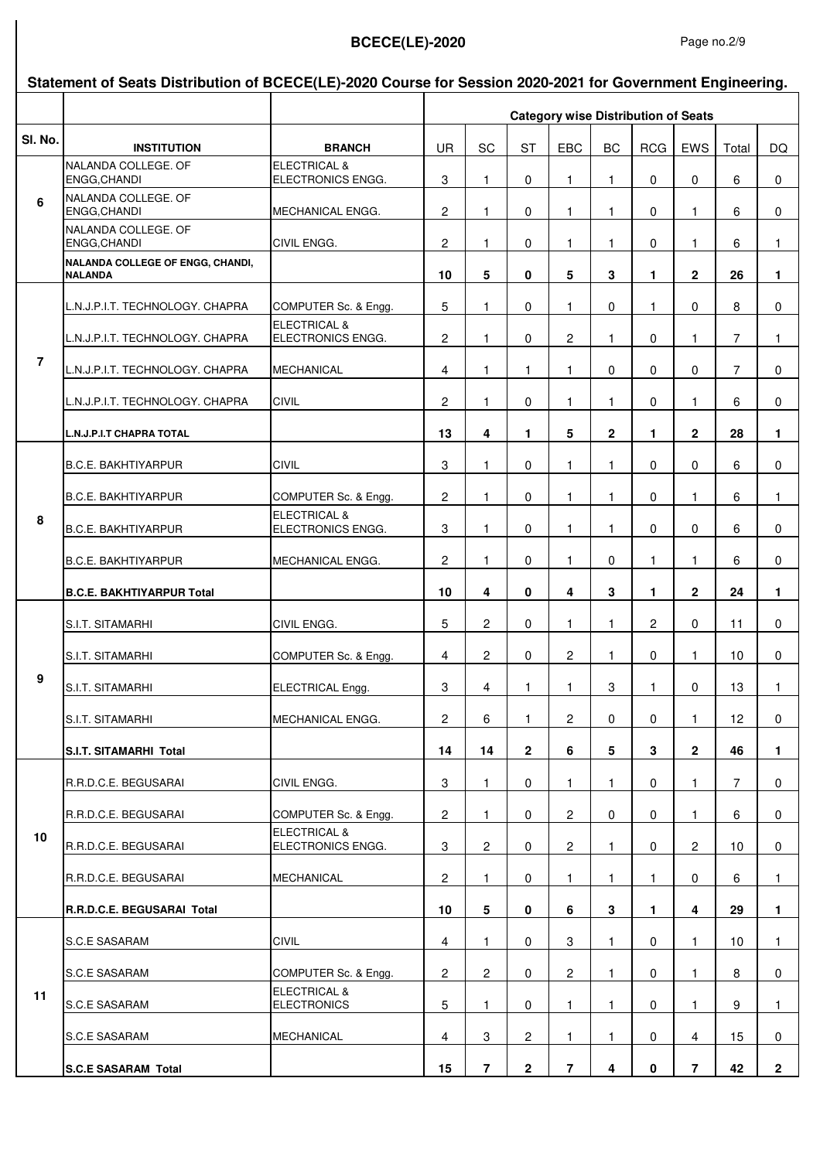#### **Sl. No. INSTITUTION BRANCH** UR SC ST EBC BC RCG EWS Total DQ **Statement of Seats Distribution of BCECE(LE)-2020 Course for Session 2020-2021 for Government Engineering. Category wise Distribution of Seats** NALANDA COLLEGE. OF ENGG,CHANDI ELECTRICAL & ELECTRONICS ENGG.  $\begin{array}{ccc} 3 & 1 & 0 & 1 & 1 & 0 & 0 & 6 & 0 \end{array}$ NALANDA COLLEGE. OF ENGG,CHANDI MECHANICAL ENGG. 2 1 0 1 1 0 1 6 0 NALANDA COLLEGE. OF ENGG,CHANDI CIVIL ENGG. 2 1 0 1 1 0 1 6 1 **NALANDA COLLEGE OF ENGG, CHANDI, NALANDA 10 5 0 5 3 1 2 26 1** L.N.J.P.I.T. TECHNOLOGY. CHAPRA COMPUTER Sc. & Engg. 5 1 0 1 0 1 0 8 0 L.N.J.P.I.T. TECHNOLOGY. CHAPRA ELECTRICAL & ELECTRONICS ENGG. 2 1 0 2 1 0 1 7 1 L.N.J.P.I.T. TECHNOLOGY. CHAPRA MECHANICAL 4 1 1 1 0 0 0 7 0 L.N.J.P.I.T. TECHNOLOGY. CHAPRA CIVIL 2 1 0 1 1 0 1 6 0 **L.N.J.P.I.T CHAPRA TOTAL 13 4 1 5 2 1 2 28 1** B.C.E. BAKHTIYARPUR CIVIL CIVIL I 3 1 1 0 1 1 1 1 0 1 0 1 6 1 0 B.C.E. BAKHTIYARPUR COMPUTER Sc. & Engg. 2 1 0 1 1 0 1 6 1 B.C.E. BAKHTIYARPUR ELECTRICAL & ELECTRONICS ENGG. 3 1 0 1 1 0 0 6 0 B.C.E. BAKHTIYARPUR MECHANICAL ENGG. 2 1 0 1 0 1 1 6 0 **B.C.E. BAKHTIYARPUR Total 10 4 0 4 3 1 2 24 1** S.I.T. SITAMARHI CIVIL ENGG. 5 2 0 1 1 2 0 11 0 S.I.T. SITAMARHI COMPUTER Sc. & Engg. 4 2 0 2 1 0 1 10 0 S.I.T. SITAMARHI ELECTRICAL Engg. 3 4 1 1 3 1 0 13 1 S.I.T. SITAMARHI MECHANICAL ENGG. 2 6 1 2 0 0 1 12 0 **S.I.T. SITAMARHI Total 14 14 2 6 5 3 2 46 1** R.R.D.C.E. BEGUSARAI CIVIL ENGG. | 3 | 1 | 0 | 1 | 1 | 0 | 1 | 7 | 0 R.R.D.C.E. BEGUSARAI COMPUTER Sc. & Engg. 2 1 0 2 0 0 1 6 0 R.R.D.C.E. BEGUSARAI ELECTRICAL & ELECTRONICS ENGG. | 3 | 2 | 0 | 2 | 1 | 0 | 2 | 10 | 0 R.R.D.C.E. BEGUSARAI MECHANICAL 2 1 0 1 1 1 0 6 1 **R.R.D.C.E. BEGUSARAI Total 10 5 0 6 3 1 4 29 1** S.C.E SASARAM CIVIL 4 1 0 3 1 0 1 10 1 S.C.E SASARAM COMPUTER Sc. & Engg. 2 2 0 2 1 0 1 8 0 S.C.E SASARAM ELECTRICAL & ELECTRONICS 5 1 0 1 1 1 0 1 1 9 1 S.C.E SASARAM MECHANICAL 4 3 2 1 1 0 4 15 0 **S.C.E SASARAM Total 15 7 2 7 4 0 7 42 2 10 11 6 7 8 9**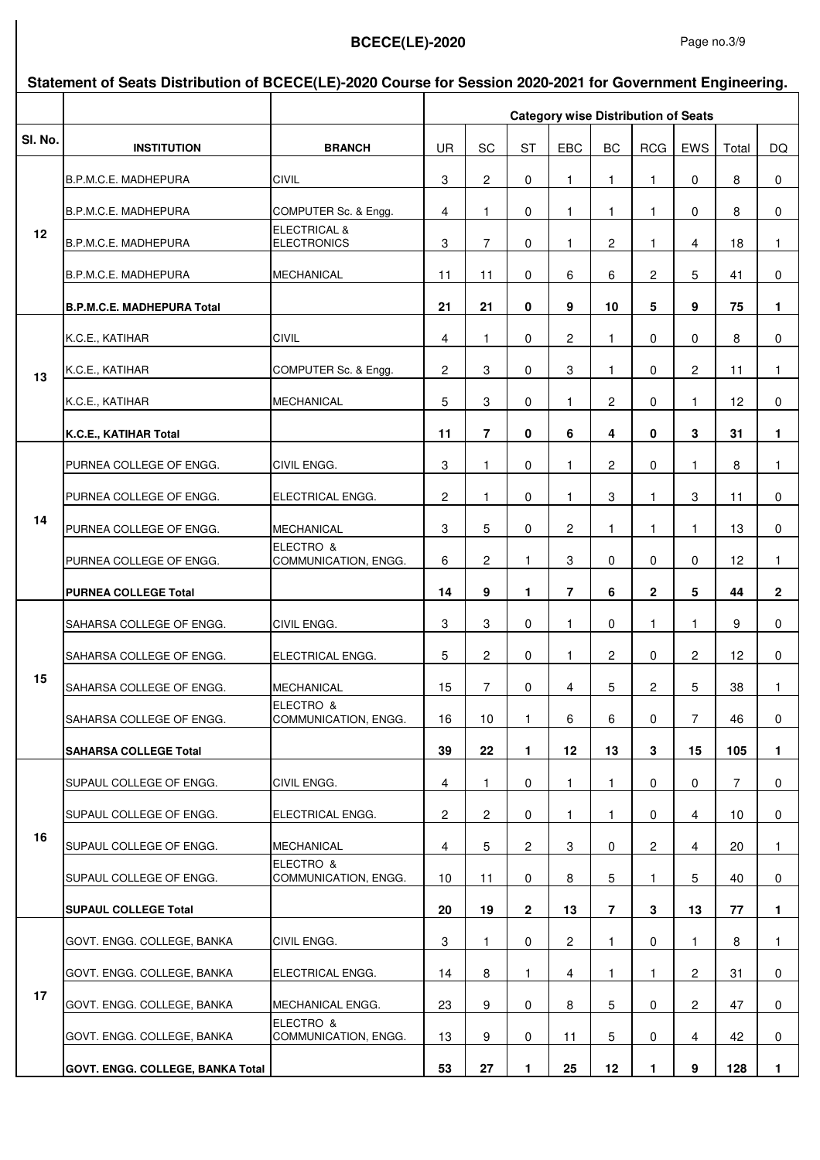|         | Statement of Seats Distribution of BCECE(LE)-2020 Course for Session 2020-2021 for Government Engineering. |                                               |                |                                            |                |                |                |                |                |                |              |  |
|---------|------------------------------------------------------------------------------------------------------------|-----------------------------------------------|----------------|--------------------------------------------|----------------|----------------|----------------|----------------|----------------|----------------|--------------|--|
|         |                                                                                                            |                                               |                | <b>Category wise Distribution of Seats</b> |                |                |                |                |                |                |              |  |
| SI. No. | <b>INSTITUTION</b>                                                                                         | <b>BRANCH</b>                                 | <b>UR</b>      | SC                                         | <b>ST</b>      | EBC            | <b>BC</b>      | <b>RCG</b>     | EWS            | Total          | DQ           |  |
|         | B.P.M.C.E. MADHEPURA                                                                                       | <b>CIVIL</b>                                  | 3              | $\overline{c}$                             | 0              | 1.             | 1.             | 1.             | 0              | 8              | 0            |  |
|         | B.P.M.C.E. MADHEPURA                                                                                       | COMPUTER Sc. & Engg.                          | 4              | 1                                          | 0              | 1              | 1.             | 1              | 0              | 8              | 0            |  |
| 12      | B.P.M.C.E. MADHEPURA                                                                                       | <b>ELECTRICAL &amp;</b><br><b>ELECTRONICS</b> | 3              | 7                                          | 0              | 1.             | 2              | 1              | 4              | 18             | 1            |  |
|         | B.P.M.C.E. MADHEPURA                                                                                       | <b>MECHANICAL</b>                             | 11             | 11                                         | 0              | 6              | 6              | $\mathbf{2}$   | 5              | 41             | $\pmb{0}$    |  |
|         | <b>B.P.M.C.E. MADHEPURA Total</b>                                                                          |                                               | 21             | 21                                         | 0              | 9              | 10             | 5              | 9              | 75             | 1.           |  |
|         | K.C.E., KATIHAR                                                                                            | <b>CIVIL</b>                                  | 4              | 1                                          | 0              | 2              | 1              | 0              | 0              | 8              | $\pmb{0}$    |  |
| 13      | K.C.E., KATIHAR                                                                                            | COMPUTER Sc. & Engg.                          | 2              | 3                                          | 0              | 3              | 1              | 0              | $\overline{2}$ | 11             | 1.           |  |
|         | K.C.E., KATIHAR                                                                                            | <b>MECHANICAL</b>                             | 5              | 3                                          | 0              | 1              | $\overline{c}$ | 0              | 1.             | 12             | 0            |  |
|         | K.C.E., KATIHAR Total                                                                                      |                                               | 11             | $\overline{7}$                             | 0              | 6              | 4              | 0              | 3              | 31             | 1            |  |
|         | PURNEA COLLEGE OF ENGG.                                                                                    | CIVIL ENGG.                                   | 3              | 1                                          | 0              | 1.             | 2              | 0              | 1.             | 8              | 1.           |  |
| 14      | PURNEA COLLEGE OF ENGG.                                                                                    | ELECTRICAL ENGG.                              | 2              | $\mathbf{1}$                               | 0              | 1              | 3              | 1              | 3              | 11             | 0            |  |
|         | PURNEA COLLEGE OF ENGG.                                                                                    | <b>MECHANICAL</b>                             | 3              | 5                                          | 0              | $\overline{c}$ | 1              | 1              | 1              | 13             | 0            |  |
|         | PURNEA COLLEGE OF ENGG.                                                                                    | ELECTRO &<br>COMMUNICATION, ENGG.             | 6              | $\overline{2}$                             | $\mathbf{1}$   | 3              | 0              | 0              | 0              | 12             | 1.           |  |
|         | <b>PURNEA COLLEGE Total</b>                                                                                |                                               | 14             | 9                                          | 1.             | $\overline{7}$ | 6              | $\overline{2}$ | 5              | 44             | $\mathbf{2}$ |  |
|         | SAHARSA COLLEGE OF ENGG.                                                                                   | CIVIL ENGG.                                   | 3              | 3                                          | 0              | 1.             | 0              | 1              | 1.             | 9              | $\mathbf 0$  |  |
|         | SAHARSA COLLEGE OF ENGG.                                                                                   | ELECTRICAL ENGG.                              | 5              | 2                                          | 0              | 1              | $\overline{2}$ | 0              | $\mathbf{2}$   | 12             | 0            |  |
| 15      | SAHARSA COLLEGE OF ENGG.                                                                                   | MECHANICAL                                    | 15             | 7                                          | 0              | 4              | 5              | 2              | 5              | 38             | $\mathbf{1}$ |  |
|         | SAHARSA COLLEGE OF ENGG.                                                                                   | ELECTRO &<br>COMMUNICATION, ENGG.             | 16             | 10                                         | 1              | 6              | 6              | 0              | $\overline{7}$ | 46             | 0            |  |
|         | <b>SAHARSA COLLEGE Total</b>                                                                               |                                               | 39             | 22                                         | 1.             | 12             | 13             | 3              | 15             | 105            | $\mathbf{1}$ |  |
|         | SUPAUL COLLEGE OF ENGG.                                                                                    | CIVIL ENGG.                                   | 4              | $\mathbf{1}$                               | 0              | 1.             | 1              | 0              | 0              | $\overline{7}$ | 0            |  |
|         | SUPAUL COLLEGE OF ENGG.                                                                                    | ELECTRICAL ENGG.                              | $\mathbf{2}$   | $\overline{2}$                             | 0              | 1.             | 1              | 0              | 4              | 10             | 0            |  |
| 16      | SUPAUL COLLEGE OF ENGG.                                                                                    | <b>MECHANICAL</b>                             | $\overline{4}$ | 5                                          | $\overline{2}$ | 3              | 0              | $\overline{2}$ | 4              | 20             | $\mathbf{1}$ |  |
|         | SUPAUL COLLEGE OF ENGG.                                                                                    | ELECTRO &<br>COMMUNICATION, ENGG.             | 10             | 11                                         | 0              | 8              | 5              | 1              | 5              | 40             | 0            |  |
|         | <b>SUPAUL COLLEGE Total</b>                                                                                |                                               | 20             | 19                                         | $\mathbf{2}$   | 13             | $\overline{7}$ | 3              | 13             | 77             | $\mathbf{1}$ |  |
|         | GOVT. ENGG. COLLEGE, BANKA                                                                                 | CIVIL ENGG.                                   | 3              | 1                                          | $\mathbf 0$    | 2              | 1              | 0              | 1.             | 8              | $\mathbf{1}$ |  |
|         | GOVT. ENGG. COLLEGE, BANKA                                                                                 | ELECTRICAL ENGG.                              | 14             | 8                                          | $\mathbf{1}$   | $\overline{4}$ | 1.             | 1.             | $\overline{2}$ | 31             | 0            |  |
| 17      | GOVT. ENGG. COLLEGE, BANKA                                                                                 | MECHANICAL ENGG.                              | 23             | 9                                          | 0              | 8              | 5              | 0              | $\overline{c}$ | 47             | 0            |  |
|         | GOVT. ENGG. COLLEGE, BANKA                                                                                 | ELECTRO &<br>COMMUNICATION, ENGG.             | 13             | 9                                          | 0              | 11             | 5              | 0              | 4              | 42             | 0            |  |
|         | GOVT. ENGG. COLLEGE, BANKA Total                                                                           |                                               | 53             | 27                                         | 1.             | 25             | $12 \,$        | 1.             | 9              | 128            | 1.           |  |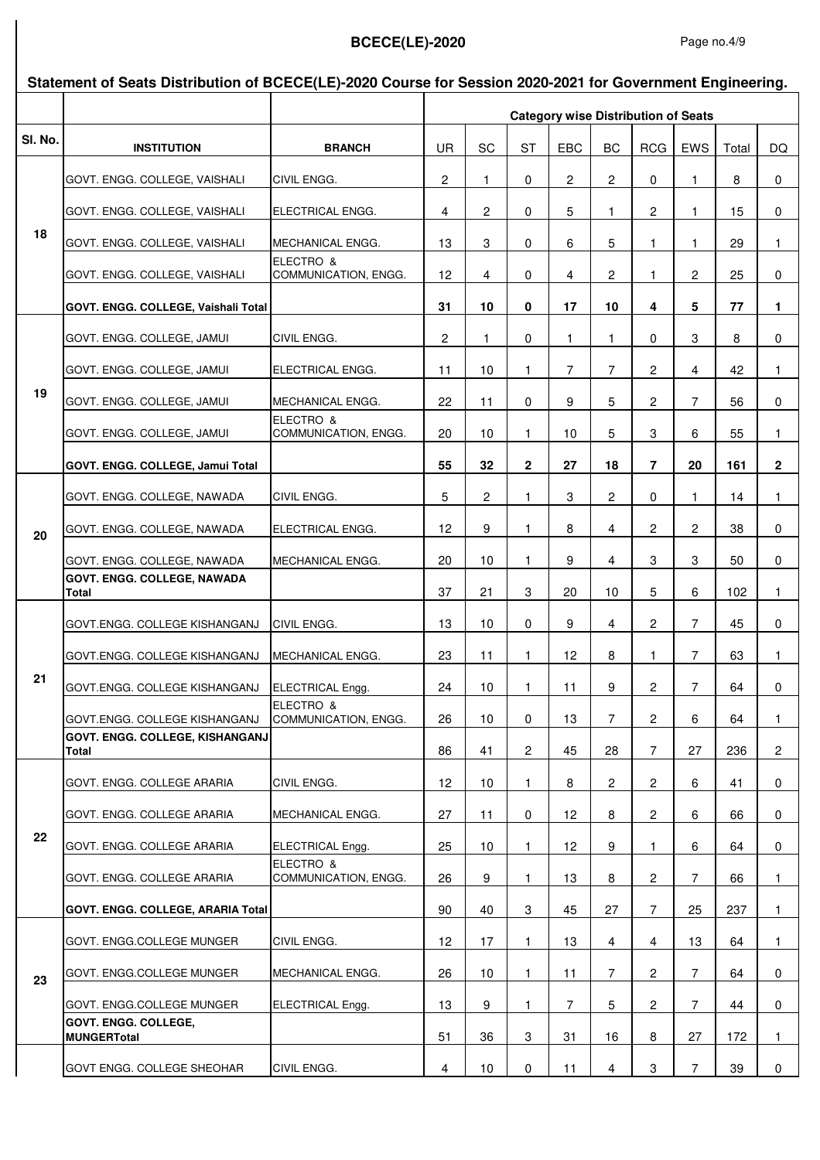|         | Statement of Seats Distribution of BCECE(LE)-2020 Course for Session 2020-2021 for Government Engineering. |                                   |                |                 |                |                |                         |                                            |                |       |                |  |
|---------|------------------------------------------------------------------------------------------------------------|-----------------------------------|----------------|-----------------|----------------|----------------|-------------------------|--------------------------------------------|----------------|-------|----------------|--|
|         |                                                                                                            |                                   |                |                 |                |                |                         | <b>Category wise Distribution of Seats</b> |                |       |                |  |
| SI. No. | <b>INSTITUTION</b>                                                                                         | <b>BRANCH</b>                     | <b>UR</b>      | SC              | <b>ST</b>      | EBC            | BC                      | <b>RCG</b>                                 | EWS            | Total | DQ             |  |
|         | GOVT. ENGG. COLLEGE, VAISHALI                                                                              | CIVIL ENGG.                       | 2              | 1               | 0              | 2              | $\overline{c}$          | 0                                          | 1              | 8     | $\mathbf 0$    |  |
|         | GOVT. ENGG. COLLEGE, VAISHALI                                                                              | ELECTRICAL ENGG.                  | 4              | 2               | 0              | 5              | 1                       | 2                                          | 1              | 15    | $\mathbf 0$    |  |
| 18      | GOVT. ENGG. COLLEGE, VAISHALI                                                                              | MECHANICAL ENGG.                  | 13             | 3               | 0              | 6              | 5                       | 1                                          | 1.             | 29    | 1              |  |
|         | GOVT. ENGG. COLLEGE, VAISHALI                                                                              | ELECTRO &<br>COMMUNICATION, ENGG. | 12             | 4               | 0              | 4              | 2                       | $\mathbf{1}$                               | 2              | 25    | 0              |  |
|         | GOVT. ENGG. COLLEGE, Vaishali Total                                                                        |                                   | 31             | 10              | 0              | 17             | 10                      | 4                                          | 5              | 77    | 1.             |  |
|         | GOVT. ENGG. COLLEGE, JAMUI                                                                                 | CIVIL ENGG.                       | $\overline{2}$ | 1               | 0              | 1              | 1                       | 0                                          | 3              | 8     | 0              |  |
|         | GOVT. ENGG. COLLEGE, JAMUI                                                                                 | ELECTRICAL ENGG.                  | 11             | 10 <sup>1</sup> | 1.             | $\overline{7}$ | $\overline{7}$          | $\overline{c}$                             | 4              | 42    | 1.             |  |
| 19      | GOVT. ENGG. COLLEGE, JAMUI                                                                                 | MECHANICAL ENGG.                  | 22             | 11              | 0              | 9              | 5                       | $\overline{c}$                             | $\overline{7}$ | 56    | 0              |  |
|         | GOVT. ENGG. COLLEGE, JAMUI                                                                                 | ELECTRO &<br>COMMUNICATION, ENGG. | 20             | 10 <sup>1</sup> | 1.             | 10             | 5                       | 3                                          | 6              | 55    | 1              |  |
|         | GOVT. ENGG. COLLEGE, Jamui Total                                                                           |                                   | 55             | 32              | $\mathbf 2$    | 27             | 18                      | 7                                          | 20             | 161   | $\mathbf{2}$   |  |
|         | GOVT. ENGG. COLLEGE, NAWADA                                                                                | CIVIL ENGG.                       | 5              | $\overline{c}$  | $\mathbf{1}$   | 3              | $\overline{\mathbf{c}}$ | 0                                          | 1              | 14    | 1              |  |
| 20      | GOVT. ENGG. COLLEGE, NAWADA                                                                                | ELECTRICAL ENGG.                  | 12             | 9               | $\mathbf{1}$   | 8              | 4                       | $\overline{c}$                             | $\overline{2}$ | 38    | 0              |  |
|         | GOVT. ENGG. COLLEGE, NAWADA                                                                                | MECHANICAL ENGG.                  | 20             | 10              | 1              | 9              | 4                       | 3                                          | 3              | 50    | 0              |  |
|         | GOVT. ENGG. COLLEGE, NAWADA<br>Total                                                                       |                                   | 37             | 21              | 3              | 20             | 10                      | 5                                          | 6              | 102   | $\mathbf{1}$   |  |
|         | GOVT.ENGG. COLLEGE KISHANGANJ                                                                              | CIVIL ENGG.                       | 13             | 10 <sup>1</sup> | 0              | 9              | 4                       | $\mathbf{2}$                               | $\overline{7}$ | 45    | 0              |  |
|         | GOVT.ENGG. COLLEGE KISHANGANJ                                                                              | MECHANICAL ENGG.                  | 23             | 11              | 1              | 12             | 8                       | 1.                                         | $\overline{7}$ | 63    | $\mathbf{1}$   |  |
| 21      | GOVT.ENGG. COLLEGE KISHANGANJ                                                                              | ELECTRICAL Engg.                  | 24             | 10              | 1              | 11             | 9                       | 2                                          | 7              | 64    | 0              |  |
|         | GOVT.ENGG. COLLEGE KISHANGANJ                                                                              | ELECTRO &<br>COMMUNICATION, ENGG. | 26             | 10              | 0              | 13             | $\overline{7}$          | $\overline{2}$                             | 6              | 64    | 1.             |  |
|         | <b>GOVT. ENGG. COLLEGE, KISHANGANJ</b><br>Total                                                            |                                   | 86             | 41              | $\overline{2}$ | 45             | 28                      | $\overline{7}$                             | 27             | 236   | $\overline{2}$ |  |
|         | GOVT. ENGG. COLLEGE ARARIA                                                                                 | CIVIL ENGG.                       | 12             | 10              | $\mathbf{1}$   | 8              | $\overline{2}$          | $\mathbf{2}$                               | 6              | 41    | 0              |  |
|         | GOVT. ENGG. COLLEGE ARARIA                                                                                 | MECHANICAL ENGG.                  | 27             | 11              | 0              | 12             | 8                       | $\mathbf{2}$                               | 6              | 66    | 0              |  |
| 22      | GOVT. ENGG. COLLEGE ARARIA                                                                                 | ELECTRICAL Engg.                  | 25             | 10 <sup>1</sup> | 1.             | 12             | 9                       | 1.                                         | 6              | 64    | 0              |  |
|         | GOVT. ENGG. COLLEGE ARARIA                                                                                 | ELECTRO &<br>COMMUNICATION, ENGG. | 26             | 9               | 1              | 13             | 8                       | $\mathbf{2}$                               | $\overline{7}$ | 66    | $\mathbf{1}$   |  |
|         | GOVT. ENGG. COLLEGE, ARARIA Total                                                                          |                                   | 90             | 40              | 3              | 45             | 27                      | $\overline{7}$                             | 25             | 237   | 1              |  |
|         | GOVT. ENGG.COLLEGE MUNGER                                                                                  | CIVIL ENGG.                       | 12             | 17              | 1              | 13             | $\overline{4}$          | 4                                          | 13             | 64    | $\mathbf{1}$   |  |
| 23      | GOVT. ENGG.COLLEGE MUNGER                                                                                  | MECHANICAL ENGG.                  | 26             | 10              | 1.             | 11             | $\overline{7}$          | $\mathbf{2}$                               | $\overline{7}$ | 64    | 0              |  |
|         | GOVT. ENGG.COLLEGE MUNGER                                                                                  | ELECTRICAL Engg.                  | 13             | 9               | $\mathbf{1}$   | $\overline{7}$ | 5                       | $\mathbf{2}$                               | $\overline{7}$ | 44    | 0              |  |
|         | <b>GOVT. ENGG. COLLEGE.</b><br><b>MUNGERTotal</b>                                                          |                                   | 51             | 36              | 3              | 31             | 16                      | 8                                          | 27             | 172   | 1.             |  |
|         | <b>GOVT ENGG. COLLEGE SHEOHAR</b>                                                                          | CIVIL ENGG.                       | 4              | 10 <sup>1</sup> | 0              | 11             | 4                       | 3                                          | $\overline{7}$ | 39    | $\mathbf{0}$   |  |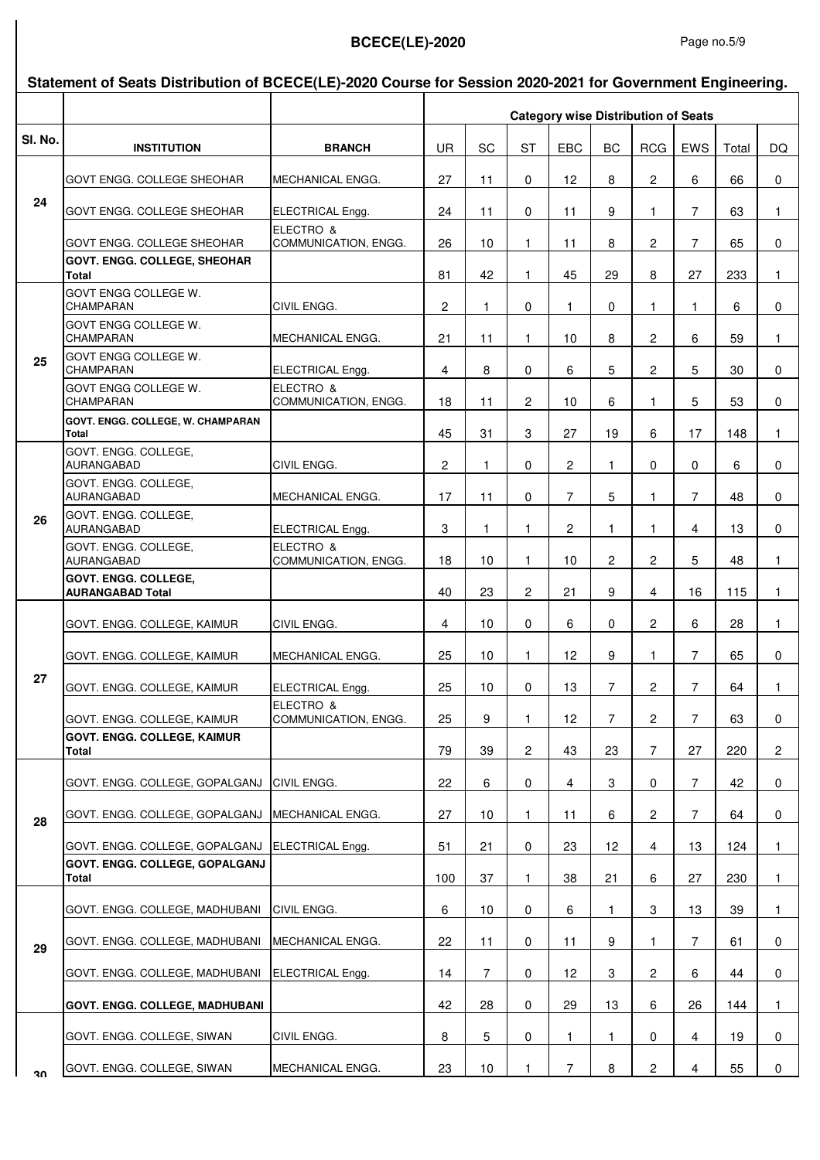#### **Statement of Seats Distribution of BCECE(LE)-2020 Course for Session 2020-2021 for Government Engineering.**

|         |                                                        |                                   | <b>Category wise Distribution of Seats</b> |                |                |                |                |                |                |       |              |
|---------|--------------------------------------------------------|-----------------------------------|--------------------------------------------|----------------|----------------|----------------|----------------|----------------|----------------|-------|--------------|
| SI. No. | <b>INSTITUTION</b>                                     | <b>BRANCH</b>                     | UR.                                        | SC             | <b>ST</b>      | EBC            | <b>BC</b>      | <b>RCG</b>     | EWS            | Total | DQ.          |
|         | <b>GOVT ENGG. COLLEGE SHEOHAR</b>                      | MECHANICAL ENGG.                  | 27                                         | 11             | $\Omega$       | 12             | 8              | $\overline{2}$ | 6              | 66    | 0            |
| 24      | <b>GOVT ENGG. COLLEGE SHEOHAR</b>                      | ELECTRICAL Engg.                  | 24                                         | 11             | 0              | 11             | 9              | 1.             | $\overline{7}$ | 63    | 1            |
|         | <b>GOVT ENGG. COLLEGE SHEOHAR</b>                      | ELECTRO &<br>COMMUNICATION, ENGG. | 26                                         | 10             | 1.             | 11             | 8              | 2              | 7              | 65    | $\mathbf 0$  |
|         | <b>GOVT. ENGG. COLLEGE, SHEOHAR</b>                    |                                   |                                            |                |                |                |                |                |                |       |              |
|         | Total                                                  |                                   | 81                                         | 42             | 1              | 45             | 29             | 8              | 27             | 233   | $\mathbf{1}$ |
|         | GOVT ENGG COLLEGE W.<br><b>CHAMPARAN</b>               | CIVIL ENGG.                       | $\overline{c}$                             | 1              | $\Omega$       | 1.             | 0              | 1              | 1              | 6     | $\mathbf 0$  |
|         | <b>GOVT ENGG COLLEGE W.</b><br><b>CHAMPARAN</b>        | MECHANICAL ENGG.                  | 21                                         | 11             | 1.             | 10             | 8              | $\overline{2}$ | 6              | 59    | 1.           |
| 25      | GOVT ENGG COLLEGE W.<br><b>CHAMPARAN</b>               | ELECTRICAL Engg.                  | 4                                          | 8              | $\Omega$       | 6              | 5              | $\overline{2}$ | 5              | 30    | 0            |
|         | GOVT ENGG COLLEGE W.<br><b>CHAMPARAN</b>               | ELECTRO &<br>COMMUNICATION, ENGG. | 18                                         | 11             | $\overline{2}$ | 10             | 6              | 1              | 5              | 53    | $\mathbf 0$  |
|         | GOVT. ENGG. COLLEGE, W. CHAMPARAN<br><b>Total</b>      |                                   | 45                                         | 31             | 3              | 27             | 19             | 6              | 17             | 148   | $\mathbf{1}$ |
|         | GOVT. ENGG. COLLEGE,<br><b>AURANGABAD</b>              | CIVIL ENGG.                       | 2                                          | 1              | 0              | $\overline{2}$ | $\mathbf{1}$   | $\Omega$       | $\Omega$       | 6     | 0            |
| 26      | GOVT. ENGG. COLLEGE,<br><b>AURANGABAD</b>              | MECHANICAL ENGG.                  | 17                                         | 11             | $\Omega$       | $\overline{7}$ | 5              | 1              | $\overline{7}$ | 48    | $\mathbf 0$  |
|         | GOVT. ENGG. COLLEGE,<br><b>AURANGABAD</b>              | ELECTRICAL Engg.                  | 3                                          | 1              | 1              | $\overline{c}$ | 1              | 1              | $\overline{4}$ | 13    | 0            |
|         | GOVT. ENGG. COLLEGE,<br><b>AURANGABAD</b>              | ELECTRO &<br>COMMUNICATION, ENGG. | 18                                         | 10             | $\mathbf{1}$   | 10             | $\overline{2}$ | $\overline{2}$ | 5              | 48    | $\mathbf{1}$ |
|         | <b>GOVT. ENGG. COLLEGE.</b><br><b>AURANGABAD Total</b> |                                   | 40                                         | 23             | $\mathbf{2}$   | 21             | 9              | $\overline{4}$ | 16             | 115   | $\mathbf{1}$ |
|         | GOVT. ENGG. COLLEGE, KAIMUR                            | CIVIL ENGG.                       | 4                                          | 10             | 0              | 6              | 0              | $\overline{2}$ | 6              | 28    | 1            |
|         | GOVT. ENGG. COLLEGE, KAIMUR                            | MECHANICAL ENGG.                  | 25                                         | 10             | $\mathbf{1}$   | 12             | 9              | 1.             | $\overline{7}$ | 65    | 0            |
| 27      | GOVT. ENGG. COLLEGE, KAIMUR                            | ELECTRICAL Engg.                  | 25                                         | 10             | 0              | 13             | $\overline{7}$ | $\overline{2}$ | $\overline{7}$ | 64    | 1            |
|         | GOVT. ENGG. COLLEGE, KAIMUR                            | ELECTRO &<br>COMMUNICATION, ENGG. | 25                                         | 9              | 1              | 12             | 7 <sup>7</sup> | $\overline{2}$ | $\overline{7}$ | 63    | 0            |
|         | <b>GOVT. ENGG. COLLEGE, KAIMUR</b><br>Total            |                                   | 79                                         | 39             | $\overline{2}$ | 43             | 23             | 7              | 27             | 220   | $\mathbf{2}$ |
|         | GOVT. ENGG. COLLEGE, GOPALGANJ                         | CIVIL ENGG.                       | 22                                         | 6              | 0              | 4              | 3              | 0              | $\overline{7}$ | 42    | 0            |
| 28      | GOVT. ENGG. COLLEGE, GOPALGANJ                         | MECHANICAL ENGG.                  | 27                                         | 10             | 1.             | 11             | 6              | 2              | 7              | 64    | 0            |
|         | GOVT. ENGG. COLLEGE, GOPALGANJ                         | ELECTRICAL Engg.                  | 51                                         | 21             | 0              | 23             | 12             | 4              | 13             | 124   | 1            |
|         | <b>GOVT. ENGG. COLLEGE, GOPALGANJ</b><br>Total         |                                   | 100                                        | 37             | 1              | 38             | 21             | 6              | 27             | 230   | 1            |
|         | GOVT. ENGG. COLLEGE, MADHUBANI                         | CIVIL ENGG.                       | 6                                          | 10             | 0              | 6              | 1.             | 3              | 13             | 39    | 1            |
|         |                                                        |                                   | 22                                         |                |                |                | 9              | 1              | $\overline{7}$ |       |              |
| 29      | GOVT. ENGG. COLLEGE, MADHUBANI                         | MECHANICAL ENGG.                  |                                            | 11             | 0              | 11             |                |                |                | 61    | 0            |
|         | GOVT. ENGG. COLLEGE, MADHUBANI                         | <b>ELECTRICAL Engg.</b>           | 14                                         | $\overline{7}$ | 0              | 12             | 3              | $\overline{c}$ | 6              | 44    | 0            |
|         | <b>GOVT. ENGG. COLLEGE, MADHUBANI</b>                  |                                   | 42                                         | 28             | 0              | 29             | 13             | 6              | 26             | 144   | 1            |
|         | GOVT. ENGG. COLLEGE, SIWAN                             | CIVIL ENGG.                       | 8                                          | 5              | 0              | 1.             | 1              | 0              | $\overline{4}$ | 19    | 0            |
| Jυ      | GOVT. ENGG. COLLEGE, SIWAN                             | MECHANICAL ENGG.                  | 23                                         | 10             | 1.             | $\overline{7}$ | 8              | 2              | $\overline{4}$ | 55    | $\mathbf 0$  |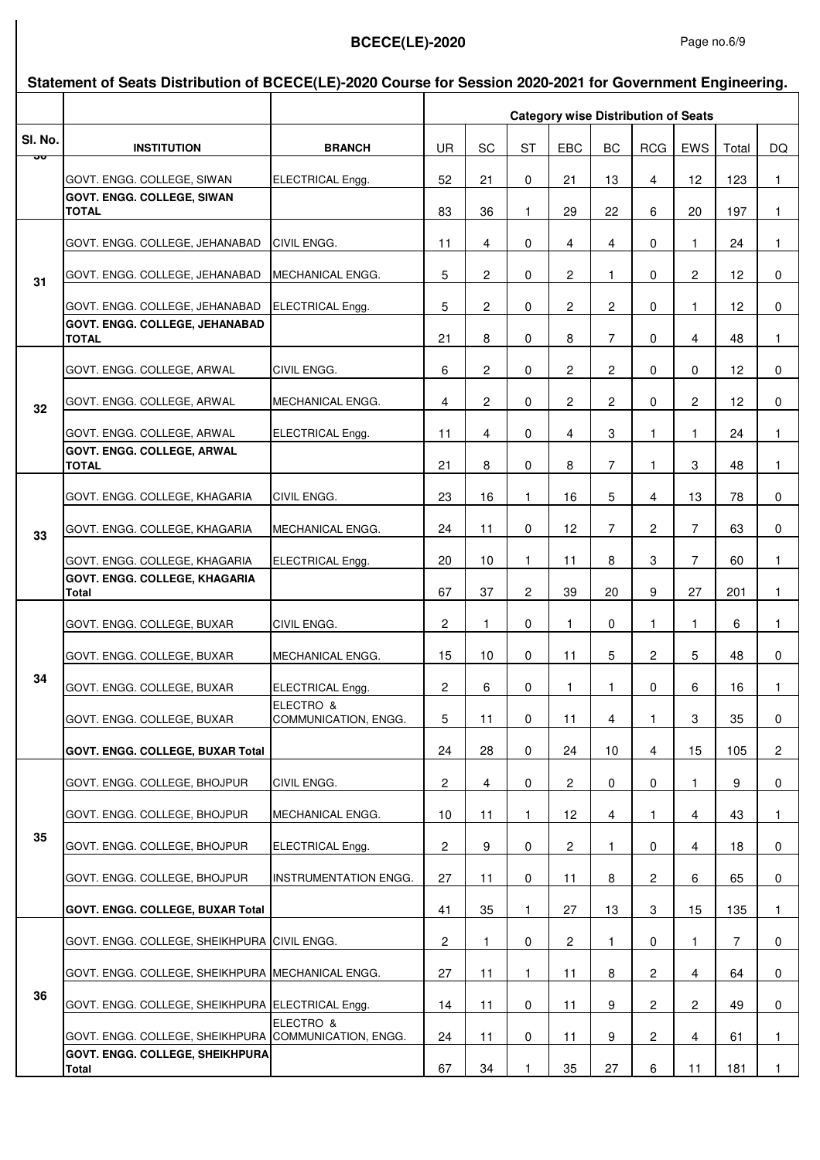#### **Sl. No. INSTITUTION BRANCH** UR SC ST EBC BC RCG EWS Total DQ **Statement of Seats Distribution of BCECE(LE)-2020 Course for Session 2020-2021 for Government Engineering. Category wise Distribution of Seats** GOVT. ENGG. COLLEGE, SIWAN ELECTRICAL Engg. 52 21 0 21 13 4 12 123 1 **GOVT. ENGG. COLLEGE, SIWAN TOTAL** 83 36 1 29 22 6 20 197 1 GOVT. ENGG. COLLEGE, JEHANABAD CIVIL ENGG. 11 4 0 4 4 0 1 24 1 GOVT. ENGG. COLLEGE, JEHANABAD MECHANICAL ENGG. 5 2 0 2 1 0 2 12 0 GOVT. ENGG. COLLEGE, JEHANABAD ELECTRICAL Engg. 5 2 0 2 2 0 1 12 0 **GOVT. ENGG. COLLEGE, JEHANABAD TOTAL** 21 8 0 8 7 0 4 48 1 GOVT. ENGG. COLLEGE, ARWAL CIVIL ENGG. 6 2 0 2 2 0 0 12 0 GOVT. ENGG. COLLEGE, ARWAL MECHANICAL ENGG. 4 2 0 2 2 0 2 12 0 GOVT. ENGG. COLLEGE, ARWAL ELECTRICAL Engg. 11 4 0 4 3 1 1 24 1 **GOVT. ENGG. COLLEGE, ARWAL TOTAL** 21 8 0 8 7 1 3 48 1 GOVT. ENGG. COLLEGE, KHAGARIA CIVIL ENGG. | 23 | 16 | 1 | 16 | 5 | 4 | 13 | 78 | 0 GOVT. ENGG. COLLEGE, KHAGARIA MECHANICAL ENGG. | 24 | 11 | 0 | 12 | 7 | 2 | 7 | 63 | 0 GOVT. ENGG. COLLEGE, KHAGARIA ELECTRICAL Engg. 20 10 1 11 8 3 7 60 1 **GOVT. ENGG. COLLEGE, KHAGARIA Total** 67 37 2 39 20 9 27 201 1 GOVT. ENGG. COLLEGE, BUXAR CIVIL ENGG. 2 1 0 1 0 1 0 1 1 1 6 1 GOVT. ENGG. COLLEGE, BUXAR MECHANICAL ENGG. 15 10 0 11 5 2 5 48 0 GOVT. ENGG. COLLEGE, BUXAR ELECTRICAL Engg. 2 6 0 1 1 0 6 16 1 GOVT. ENGG. COLLEGE, BUXAR ELECTRO & COMMUNICATION, ENGG. 5 11 0 11 4 1 3 35 0 **GOVT. ENGG. COLLEGE. BUXAR Total 24 24 28 0 24 10 4 15 105 2** GOVT. ENGG. COLLEGE, BHOJPUR CIVIL ENGG. 2 4 0 2 0 0 1 9 0 GOVT. ENGG. COLLEGE, BHOJPUR MECHANICAL ENGG. 10 11 1 12 4 1 4 43 1 GOVT. ENGG. COLLEGE, BHOJPUR ELECTRICAL Engg. 2 9 0 2 1 0 4 18 0 GOVT. ENGG. COLLEGE, BHOJPUR INSTRUMENTATION ENGG. 27 11 0 11 8 2 6 65 0 **GOVT. ENGG. COLLEGE, BUXAR Total** 41 35 1 27 13 3 15 135 1 GOVT. ENGG. COLLEGE, SHEIKHPURA CIVIL ENGG. 2 1 0 2 1 0 1 7 0 GOVT. ENGG. COLLEGE, SHEIKHPURA MECHANICAL ENGG. 27 11 1 11 8 2 4 64 0 GOVT. ENGG. COLLEGE, SHEIKHPURA ELECTRICAL Engg. 14 11 0 11 9 2 2 49 0 GOVT. ENGG. COLLEGE, SHEIKHPURA ELECTRO & COMMUNICATION, ENGG. 24 11 0 11 9 2 4 61 1 **GOVT. ENGG. COLLEGE, SHEIKHPURA Total** 67 34 1 35 27 6 11 181 1 <mark>স</mark>ত **31 36 35 34 33 32**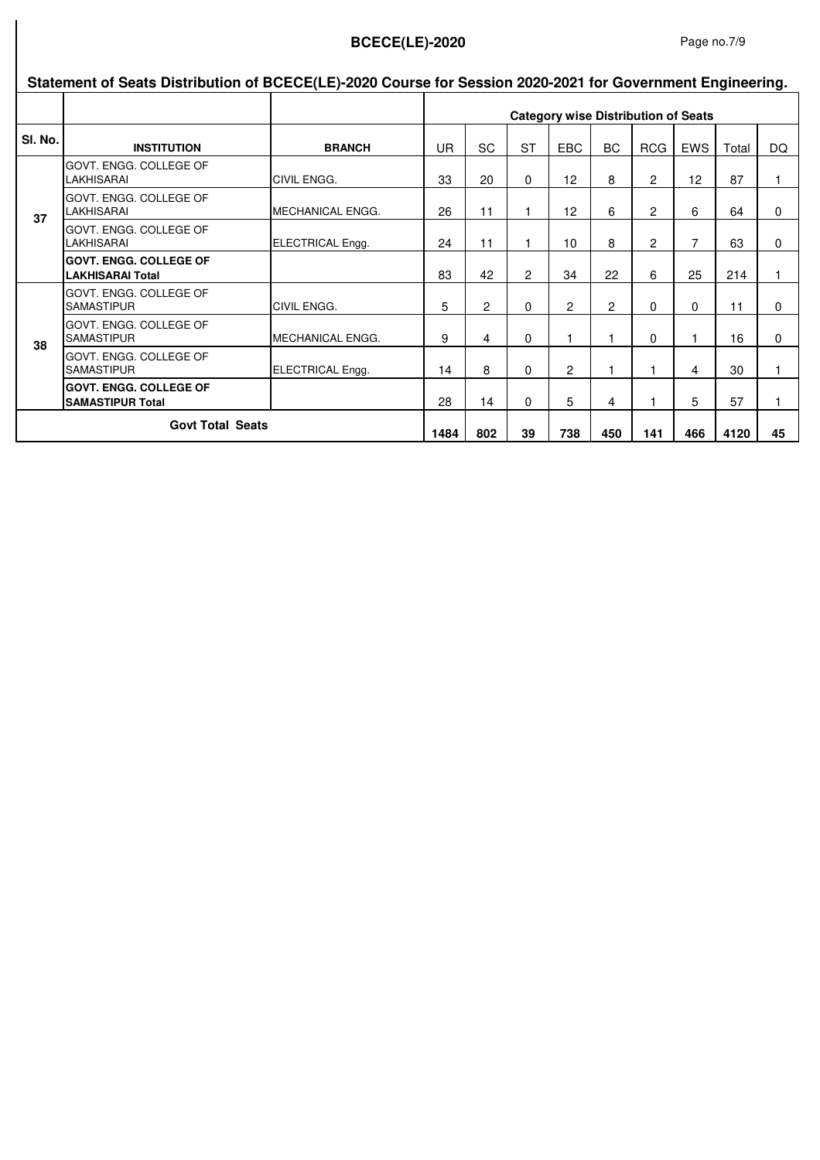#### Page no.7/9

|         | Statement of Seats Distribution of BCECE(LE)-2020 Course for Session 2020-2021 for Government Engineering. |                         |                                            |                |                |                 |                |                |            |       |          |
|---------|------------------------------------------------------------------------------------------------------------|-------------------------|--------------------------------------------|----------------|----------------|-----------------|----------------|----------------|------------|-------|----------|
|         |                                                                                                            |                         | <b>Category wise Distribution of Seats</b> |                |                |                 |                |                |            |       |          |
| SI. No. | <b>INSTITUTION</b>                                                                                         | <b>BRANCH</b>           | <b>UR</b>                                  | <b>SC</b>      | <b>ST</b>      | <b>EBC</b>      | <b>BC</b>      | <b>RCG</b>     | <b>EWS</b> | Total | DQ       |
|         | <b>IGOVT. ENGG. COLLEGE OF</b><br><b>LAKHISARAI</b>                                                        | <b>CIVIL ENGG.</b>      | 33                                         | 20             | $\Omega$       | 12 <sup>2</sup> | 8              | $\overline{c}$ | 12         | 87    |          |
| 37      | GOVT. ENGG. COLLEGE OF<br><b>LAKHISARAI</b>                                                                | <b>MECHANICAL ENGG.</b> | 26                                         | 11             |                | 12              | 6              | 2              | 6          | 64    | $\Omega$ |
|         | <b>GOVT. ENGG. COLLEGE OF</b><br>LAKHISARAI                                                                | ELECTRICAL Engg.        | 24                                         | 11             |                | 10              | 8              | $\overline{c}$ | 7          | 63    | $\Omega$ |
|         | <b>IGOVT. ENGG. COLLEGE OF</b><br><b>LAKHISARAI Total</b>                                                  |                         | 83                                         | 42             | $\overline{c}$ | 34              | 22             | 6              | 25         | 214   | 1        |
|         | <b>GOVT. ENGG. COLLEGE OF</b><br><b>SAMASTIPUR</b>                                                         | <b>CIVIL ENGG.</b>      | 5                                          | $\overline{c}$ | $\Omega$       | 2               | $\overline{2}$ | $\Omega$       | 0          | 11    | $\Omega$ |
| 38      | <b>GOVT. ENGG. COLLEGE OF</b><br><b>SAMASTIPUR</b>                                                         | <b>MECHANICAL ENGG.</b> | 9                                          | 4              | 0              | 1               | 1              | 0              |            | 16    | 0        |
|         | GOVT. ENGG. COLLEGE OF<br><b>SAMASTIPUR</b>                                                                | ELECTRICAL Engg.        | 14                                         | 8              | $\Omega$       | 2               |                |                | 4          | 30    |          |
|         | <b>GOVT. ENGG. COLLEGE OF</b><br><b>SAMASTIPUR Total</b>                                                   |                         | 28                                         | 14             | $\Omega$       | 5               | 4              |                | 5          | 57    |          |
|         | <b>Govt Total Seats</b>                                                                                    |                         | 1484                                       | 802            | 39             | 738             | 450            | 141            | 466        | 4120  | 45       |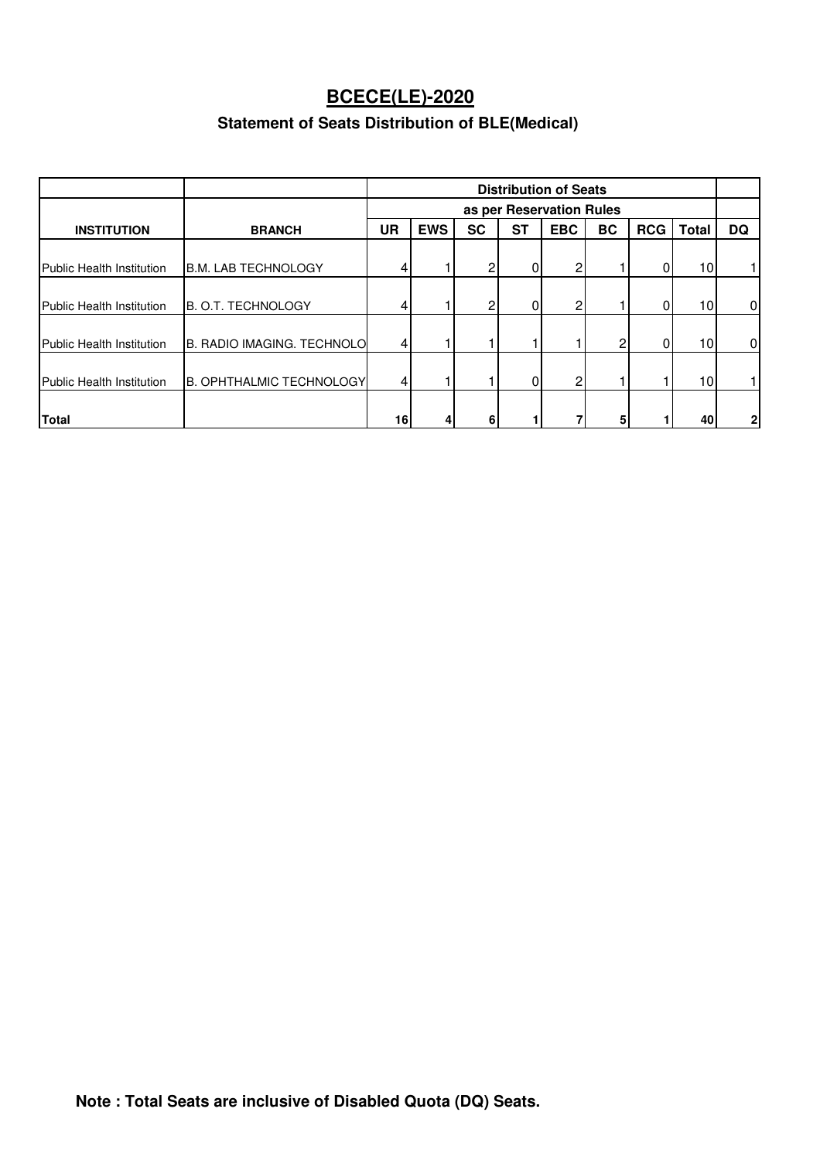### **Statement of Seats Distribution of BLE(Medical)**

|                                  |                                   |                | <b>Distribution of Seats</b> |           |    |                          |                |            |                 |                |
|----------------------------------|-----------------------------------|----------------|------------------------------|-----------|----|--------------------------|----------------|------------|-----------------|----------------|
|                                  |                                   |                |                              |           |    | as per Reservation Rules |                |            |                 |                |
| <b>INSTITUTION</b>               | <b>BRANCH</b>                     | UR             | <b>EWS</b>                   | <b>SC</b> | ST | <b>EBC</b>               | BC             | <b>RCG</b> | Total           | DQ             |
| <b>Public Health Institution</b> | <b>B.M. LAB TECHNOLOGY</b>        | 41             |                              | 2         | 0  | $\mathbf{2}$             |                |            | 10 <sub>l</sub> | 11             |
| Public Health Institution        | B. O.T. TECHNOLOGY                | 41             |                              | 2         | 0  | $\mathsf{2}$             |                |            | 10 <sup>1</sup> | 01             |
| <b>Public Health Institution</b> | <b>B. RADIO IMAGING. TECHNOLO</b> | 4 <sub>l</sub> |                              |           |    |                          | $\overline{2}$ | 0          | 10 <sub>l</sub> | $\overline{0}$ |
| Public Health Institution        | <b>B. OPHTHALMIC TECHNOLOGY</b>   | 41             |                              |           | 0  | 2 <sub>l</sub>           |                |            | 10 <sub>1</sub> | 1 I            |
| <b>Total</b>                     |                                   | 16             | 4                            | 6         |    |                          | 5              |            | 40              | 2 <sub>1</sub> |